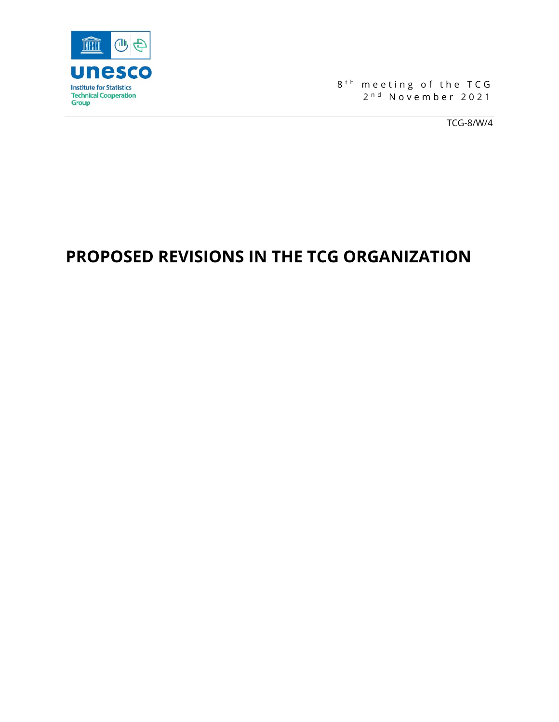

8<sup>th</sup> meeting of the TCG 2<sup>nd</sup> November 2021

TCG-8/W/4

# **PROPOSED REVISIONS IN THE TCG ORGANIZATION**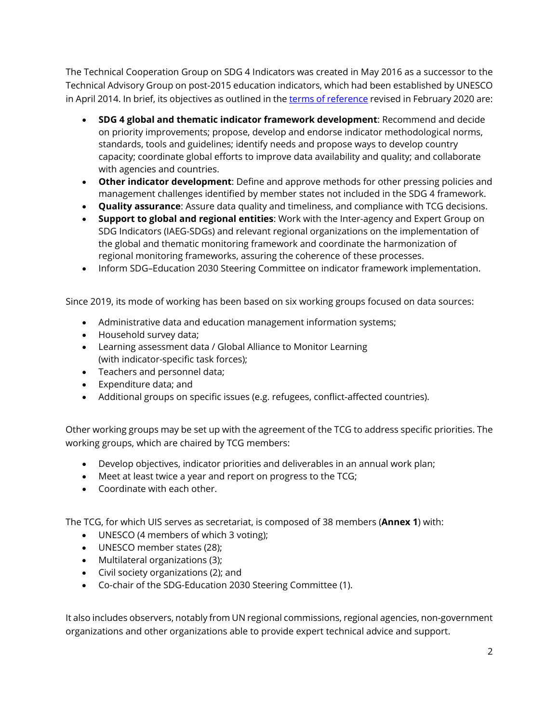The Technical Cooperation Group on SDG 4 Indicators was created in May 2016 as a successor to the Technical Advisory Group on post-2015 education indicators, which had been established by UNESCO in April 2014. In brief, its objectives as outlined in the [terms of reference](http://tcg.uis.unesco.org/wp-content/uploads/sites/4/2020/02/ToR-TCG_Feb2020.pdf) revised in February 2020 are:

- **SDG 4 global and thematic indicator framework development**: Recommend and decide on priority improvements; propose, develop and endorse indicator methodological norms, standards, tools and guidelines; identify needs and propose ways to develop country capacity; coordinate global efforts to improve data availability and quality; and collaborate with agencies and countries.
- **Other indicator development**: Define and approve methods for other pressing policies and management challenges identified by member states not included in the SDG 4 framework.
- **Quality assurance**: Assure data quality and timeliness, and compliance with TCG decisions.
- **Support to global and regional entities**: Work with the Inter-agency and Expert Group on SDG Indicators (IAEG-SDGs) and relevant regional organizations on the implementation of the global and thematic monitoring framework and coordinate the harmonization of regional monitoring frameworks, assuring the coherence of these processes.
- Inform SDG–Education 2030 Steering Committee on indicator framework implementation.

Since 2019, its mode of working has been based on six working groups focused on data sources:

- Administrative data and education management information systems;
- Household survey data;
- Learning assessment data / Global Alliance to Monitor Learning (with indicator-specific task forces);
- Teachers and personnel data;
- Expenditure data; and
- Additional groups on specific issues (e.g. refugees, conflict-affected countries).

Other working groups may be set up with the agreement of the TCG to address specific priorities. The working groups, which are chaired by TCG members:

- Develop objectives, indicator priorities and deliverables in an annual work plan;
- Meet at least twice a year and report on progress to the TCG;
- Coordinate with each other.

The TCG, for which UIS serves as secretariat, is composed of 38 members (**Annex 1**) with:

- UNESCO (4 members of which 3 voting);
- UNESCO member states (28);
- Multilateral organizations (3);
- Civil society organizations (2); and
- Co-chair of the SDG-Education 2030 Steering Committee (1).

It also includes observers, notably from UN regional commissions, regional agencies, non-government organizations and other organizations able to provide expert technical advice and support.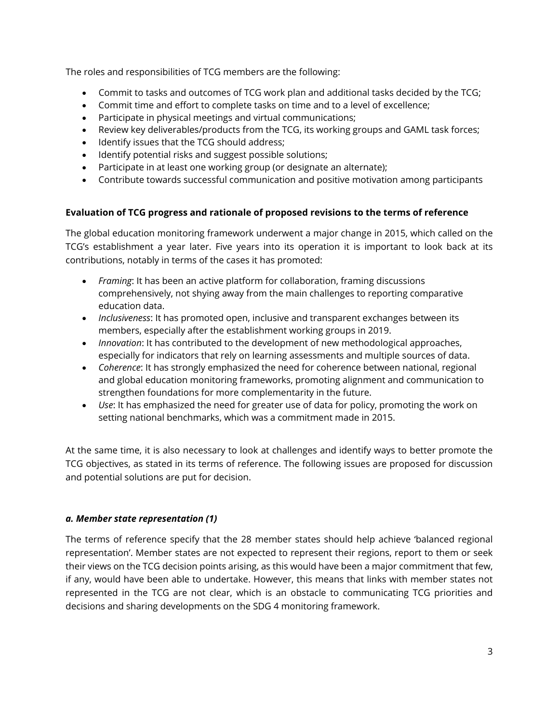The roles and responsibilities of TCG members are the following:

- Commit to tasks and outcomes of TCG work plan and additional tasks decided by the TCG;
- Commit time and effort to complete tasks on time and to a level of excellence;
- Participate in physical meetings and virtual communications;
- Review key deliverables/products from the TCG, its working groups and GAML task forces;
- Identify issues that the TCG should address;
- Identify potential risks and suggest possible solutions;
- Participate in at least one working group (or designate an alternate);
- Contribute towards successful communication and positive motivation among participants

# **Evaluation of TCG progress and rationale of proposed revisions to the terms of reference**

The global education monitoring framework underwent a major change in 2015, which called on the TCG's establishment a year later. Five years into its operation it is important to look back at its contributions, notably in terms of the cases it has promoted:

- *Framing*: It has been an active platform for collaboration, framing discussions comprehensively, not shying away from the main challenges to reporting comparative education data.
- *Inclusiveness*: It has promoted open, inclusive and transparent exchanges between its members, especially after the establishment working groups in 2019.
- *Innovation*: It has contributed to the development of new methodological approaches, especially for indicators that rely on learning assessments and multiple sources of data.
- *Coherence*: It has strongly emphasized the need for coherence between national, regional and global education monitoring frameworks, promoting alignment and communication to strengthen foundations for more complementarity in the future.
- *Use*: It has emphasized the need for greater use of data for policy, promoting the work on setting national benchmarks, which was a commitment made in 2015.

At the same time, it is also necessary to look at challenges and identify ways to better promote the TCG objectives, as stated in its terms of reference. The following issues are proposed for discussion and potential solutions are put for decision.

## *a. Member state representation (1)*

The terms of reference specify that the 28 member states should help achieve 'balanced regional representation'. Member states are not expected to represent their regions, report to them or seek their views on the TCG decision points arising, as this would have been a major commitment that few, if any, would have been able to undertake. However, this means that links with member states not represented in the TCG are not clear, which is an obstacle to communicating TCG priorities and decisions and sharing developments on the SDG 4 monitoring framework.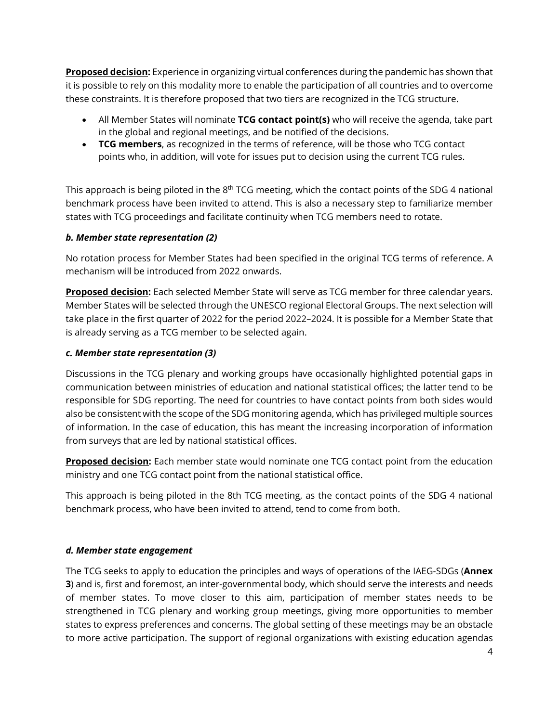**Proposed decision:** Experience in organizing virtual conferences during the pandemic has shown that it is possible to rely on this modality more to enable the participation of all countries and to overcome these constraints. It is therefore proposed that two tiers are recognized in the TCG structure.

- All Member States will nominate **TCG contact point(s)** who will receive the agenda, take part in the global and regional meetings, and be notified of the decisions.
- **TCG members**, as recognized in the terms of reference, will be those who TCG contact points who, in addition, will vote for issues put to decision using the current TCG rules.

This approach is being piloted in the 8<sup>th</sup> TCG meeting, which the contact points of the SDG 4 national benchmark process have been invited to attend. This is also a necessary step to familiarize member states with TCG proceedings and facilitate continuity when TCG members need to rotate.

#### *b. Member state representation (2)*

No rotation process for Member States had been specified in the original TCG terms of reference. A mechanism will be introduced from 2022 onwards.

**Proposed decision:** Each selected Member State will serve as TCG member for three calendar years. Member States will be selected through the UNESCO regional Electoral Groups. The next selection will take place in the first quarter of 2022 for the period 2022–2024. It is possible for a Member State that is already serving as a TCG member to be selected again.

#### *c. Member state representation (3)*

Discussions in the TCG plenary and working groups have occasionally highlighted potential gaps in communication between ministries of education and national statistical offices; the latter tend to be responsible for SDG reporting. The need for countries to have contact points from both sides would also be consistent with the scope of the SDG monitoring agenda, which has privileged multiple sources of information. In the case of education, this has meant the increasing incorporation of information from surveys that are led by national statistical offices.

**Proposed decision:** Each member state would nominate one TCG contact point from the education ministry and one TCG contact point from the national statistical office.

This approach is being piloted in the 8th TCG meeting, as the contact points of the SDG 4 national benchmark process, who have been invited to attend, tend to come from both.

## *d. Member state engagement*

The TCG seeks to apply to education the principles and ways of operations of the IAEG-SDGs (**Annex 3**) and is, first and foremost, an inter-governmental body, which should serve the interests and needs of member states. To move closer to this aim, participation of member states needs to be strengthened in TCG plenary and working group meetings, giving more opportunities to member states to express preferences and concerns. The global setting of these meetings may be an obstacle to more active participation. The support of regional organizations with existing education agendas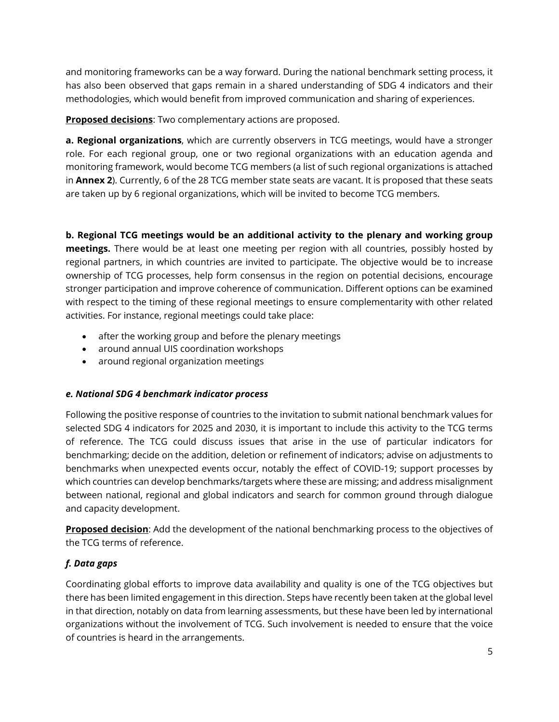and monitoring frameworks can be a way forward. During the national benchmark setting process, it has also been observed that gaps remain in a shared understanding of SDG 4 indicators and their methodologies, which would benefit from improved communication and sharing of experiences.

**Proposed decisions**: Two complementary actions are proposed.

**a. Regional organizations**, which are currently observers in TCG meetings, would have a stronger role. For each regional group, one or two regional organizations with an education agenda and monitoring framework, would become TCG members (a list of such regional organizations is attached in **Annex 2**). Currently, 6 of the 28 TCG member state seats are vacant. It is proposed that these seats are taken up by 6 regional organizations, which will be invited to become TCG members.

**b. Regional TCG meetings would be an additional activity to the plenary and working group meetings.** There would be at least one meeting per region with all countries, possibly hosted by regional partners, in which countries are invited to participate. The objective would be to increase ownership of TCG processes, help form consensus in the region on potential decisions, encourage stronger participation and improve coherence of communication. Different options can be examined with respect to the timing of these regional meetings to ensure complementarity with other related activities. For instance, regional meetings could take place:

- after the working group and before the plenary meetings
- around annual UIS coordination workshops
- around regional organization meetings

## *e. National SDG 4 benchmark indicator process*

Following the positive response of countries to the invitation to submit national benchmark values for selected SDG 4 indicators for 2025 and 2030, it is important to include this activity to the TCG terms of reference. The TCG could discuss issues that arise in the use of particular indicators for benchmarking; decide on the addition, deletion or refinement of indicators; advise on adjustments to benchmarks when unexpected events occur, notably the effect of COVID-19; support processes by which countries can develop benchmarks/targets where these are missing; and address misalignment between national, regional and global indicators and search for common ground through dialogue and capacity development.

**Proposed decision**: Add the development of the national benchmarking process to the objectives of the TCG terms of reference.

## *f. Data gaps*

Coordinating global efforts to improve data availability and quality is one of the TCG objectives but there has been limited engagement in this direction. Steps have recently been taken at the global level in that direction, notably on data from learning assessments, but these have been led by international organizations without the involvement of TCG. Such involvement is needed to ensure that the voice of countries is heard in the arrangements.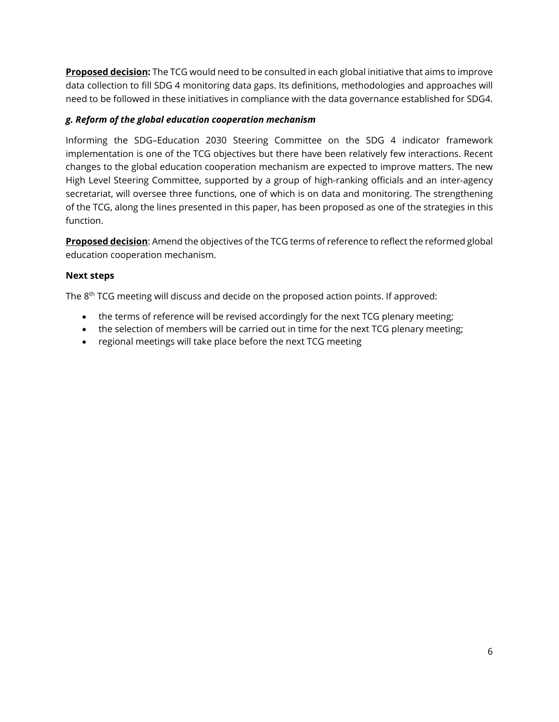**Proposed decision:** The TCG would need to be consulted in each global initiative that aims to improve data collection to fill SDG 4 monitoring data gaps. Its definitions, methodologies and approaches will need to be followed in these initiatives in compliance with the data governance established for SDG4.

#### *g. Reform of the global education cooperation mechanism*

Informing the SDG–Education 2030 Steering Committee on the SDG 4 indicator framework implementation is one of the TCG objectives but there have been relatively few interactions. Recent changes to the global education cooperation mechanism are expected to improve matters. The new High Level Steering Committee, supported by a group of high-ranking officials and an inter-agency secretariat, will oversee three functions, one of which is on data and monitoring. The strengthening of the TCG, along the lines presented in this paper, has been proposed as one of the strategies in this function.

**Proposed decision**: Amend the objectives of the TCG terms of reference to reflect the reformed global education cooperation mechanism.

#### **Next steps**

The 8<sup>th</sup> TCG meeting will discuss and decide on the proposed action points. If approved:

- the terms of reference will be revised accordingly for the next TCG plenary meeting;
- the selection of members will be carried out in time for the next TCG plenary meeting;
- regional meetings will take place before the next TCG meeting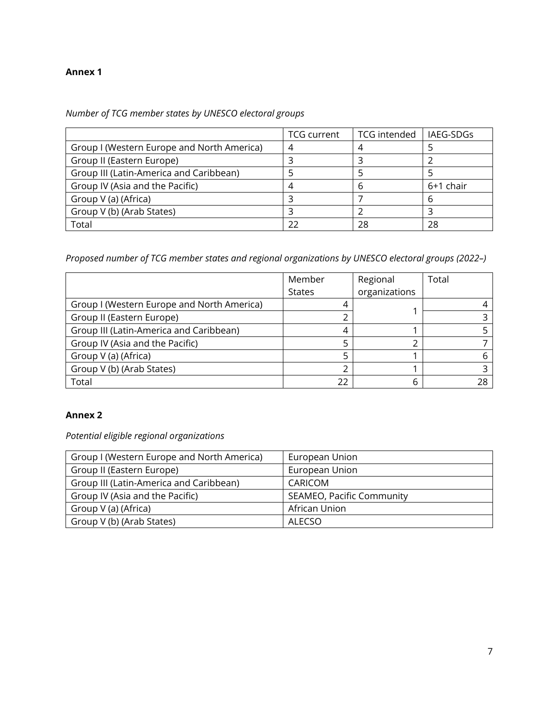#### **Annex 1**

*Number of TCG member states by UNESCO electoral groups*

|                                            | <b>TCG</b> current | <b>TCG</b> intended | LIAEG-SDGs |
|--------------------------------------------|--------------------|---------------------|------------|
| Group I (Western Europe and North America) |                    |                     |            |
| Group II (Eastern Europe)                  |                    |                     |            |
| Group III (Latin-America and Caribbean)    |                    |                     |            |
| Group IV (Asia and the Pacific)            |                    | h                   | 6+1 chair  |
| Group V (a) (Africa)                       |                    |                     | h          |
| Group V (b) (Arab States)                  |                    |                     |            |
| Total                                      |                    | 28                  | 28         |

*Proposed number of TCG member states and regional organizations by UNESCO electoral groups (2022–)*

|                                            | Member        | Regional      | Total |
|--------------------------------------------|---------------|---------------|-------|
|                                            | <b>States</b> | organizations |       |
| Group I (Western Europe and North America) |               |               |       |
| Group II (Eastern Europe)                  |               |               |       |
| Group III (Latin-America and Caribbean)    |               |               |       |
| Group IV (Asia and the Pacific)            |               |               |       |
| Group V (a) (Africa)                       |               |               |       |
| Group V (b) (Arab States)                  |               |               |       |
| Total                                      | 22            |               | 28    |

#### **Annex 2**

*Potential eligible regional organizations*

| Group I (Western Europe and North America) | European Union            |
|--------------------------------------------|---------------------------|
| Group II (Eastern Europe)                  | European Union            |
| Group III (Latin-America and Caribbean)    | CARICOM                   |
| Group IV (Asia and the Pacific)            | SEAMEO, Pacific Community |
| Group V (a) (Africa)                       | African Union             |
| Group V (b) (Arab States)                  | ALECSO                    |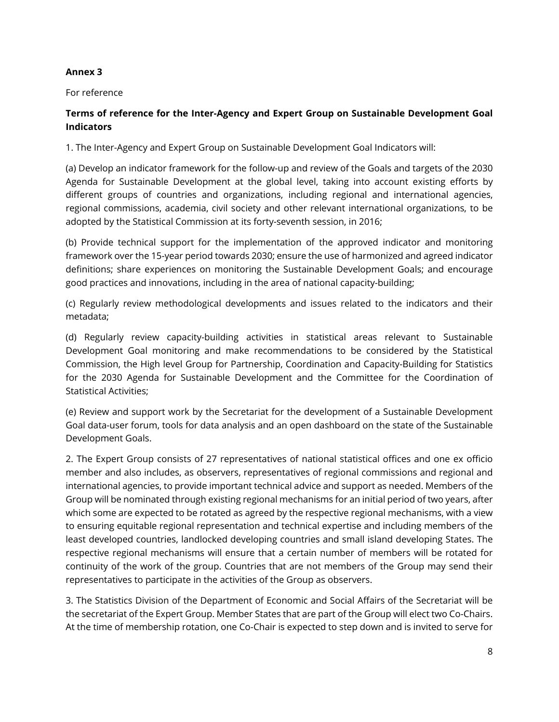#### **Annex 3**

For reference

## **Terms of reference for the Inter-Agency and Expert Group on Sustainable Development Goal Indicators**

1. The Inter-Agency and Expert Group on Sustainable Development Goal Indicators will:

(a) Develop an indicator framework for the follow-up and review of the Goals and targets of the 2030 Agenda for Sustainable Development at the global level, taking into account existing efforts by different groups of countries and organizations, including regional and international agencies, regional commissions, academia, civil society and other relevant international organizations, to be adopted by the Statistical Commission at its forty-seventh session, in 2016;

(b) Provide technical support for the implementation of the approved indicator and monitoring framework over the 15-year period towards 2030; ensure the use of harmonized and agreed indicator definitions; share experiences on monitoring the Sustainable Development Goals; and encourage good practices and innovations, including in the area of national capacity-building;

(c) Regularly review methodological developments and issues related to the indicators and their metadata;

(d) Regularly review capacity-building activities in statistical areas relevant to Sustainable Development Goal monitoring and make recommendations to be considered by the Statistical Commission, the High level Group for Partnership, Coordination and Capacity-Building for Statistics for the 2030 Agenda for Sustainable Development and the Committee for the Coordination of Statistical Activities;

(e) Review and support work by the Secretariat for the development of a Sustainable Development Goal data-user forum, tools for data analysis and an open dashboard on the state of the Sustainable Development Goals.

2. The Expert Group consists of 27 representatives of national statistical offices and one ex officio member and also includes, as observers, representatives of regional commissions and regional and international agencies, to provide important technical advice and support as needed. Members of the Group will be nominated through existing regional mechanisms for an initial period of two years, after which some are expected to be rotated as agreed by the respective regional mechanisms, with a view to ensuring equitable regional representation and technical expertise and including members of the least developed countries, landlocked developing countries and small island developing States. The respective regional mechanisms will ensure that a certain number of members will be rotated for continuity of the work of the group. Countries that are not members of the Group may send their representatives to participate in the activities of the Group as observers.

3. The Statistics Division of the Department of Economic and Social Affairs of the Secretariat will be the secretariat of the Expert Group. Member States that are part of the Group will elect two Co-Chairs. At the time of membership rotation, one Co-Chair is expected to step down and is invited to serve for